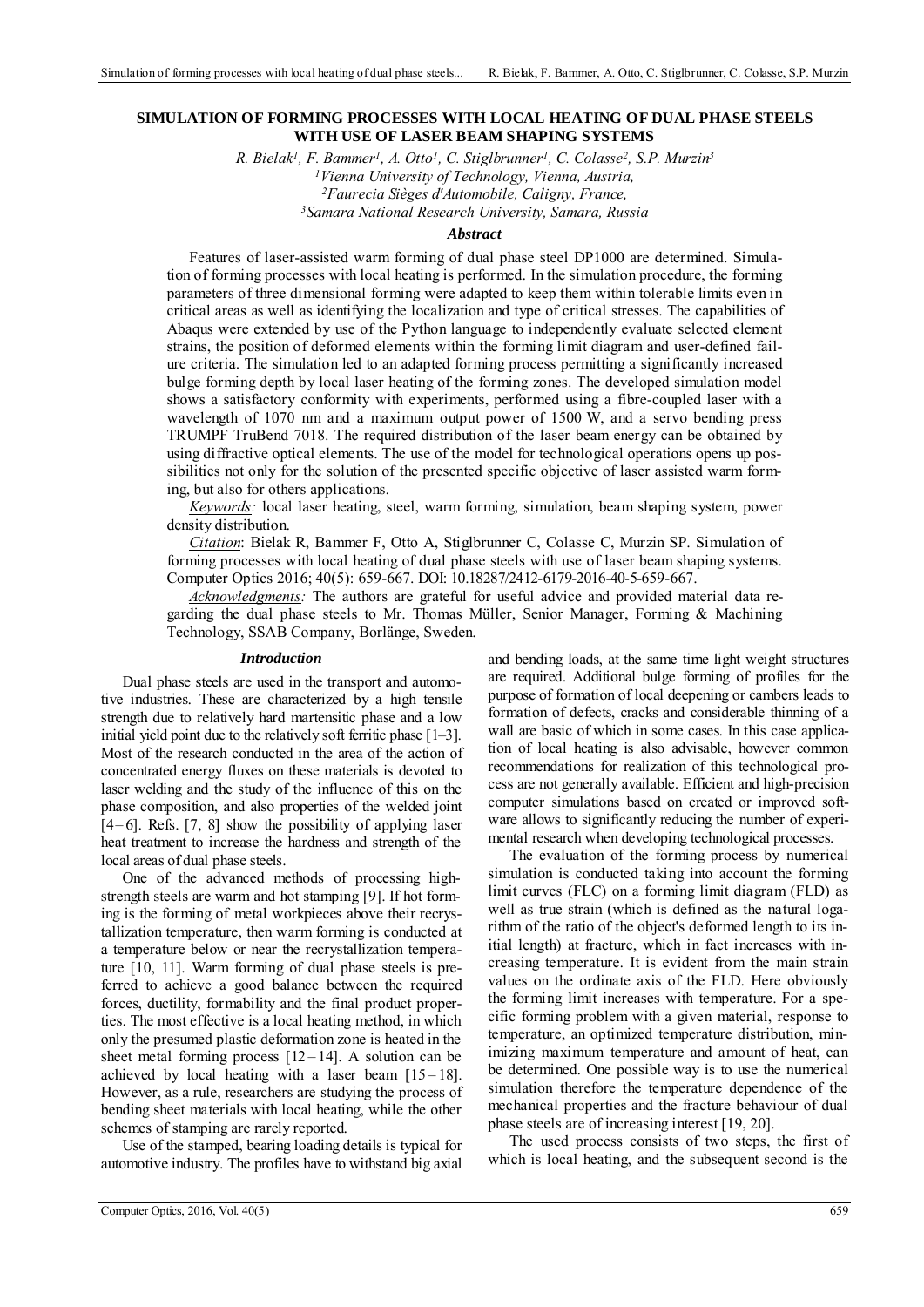### **SIMULATION OF FORMING PROCESSES WITH LOCAL HEATING OF DUAL PHASE STEELS WITH USE OF LASER BEAM SHAPING SYSTEMS**

*R. Bielak1, F. Bammer1, A. Otto1, C. Stiglbrunner1, C. Colasse2, S.P. Murzin3 1Vienna University of Technology, Vienna, Austria, 2Faurecia Sièges d'Automobile, Caligny, France, 3Samara National Research University, Samara, Russia* 

### *Abstract*

Features of laser-assisted warm forming of dual phase steel DP1000 are determined. Simulation of forming processes with local heating is performed. In the simulation procedure, the forming parameters of three dimensional forming were adapted to keep them within tolerable limits even in critical areas as well as identifying the localization and type of critical stresses. The capabilities of Abaqus were extended by use of the Python language to independently evaluate selected element strains, the position of deformed elements within the forming limit diagram and user-defined failure criteria. The simulation led to an adapted forming process permitting a significantly increased bulge forming depth by local laser heating of the forming zones. The developed simulation model shows a satisfactory conformity with experiments, performed using a fibre-coupled laser with a wavelength of 1070 nm and a maximum output power of 1500 W, and a servo bending press TRUMPF TruBend 7018. The required distribution of the laser beam energy can be obtained by using diffractive optical elements. The use of the model for technological operations opens up possibilities not only for the solution of the presented specific objective of laser assisted warm forming, but also for others applications.

*Keywords:* local laser heating, steel, warm forming, simulation, beam shaping system, power density distribution.

*Citation*: Bielak R, Bammer F, Otto A, Stiglbrunner C, Colasse C, Murzin SP. Simulation of forming processes with local heating of dual phase steels with use of laser beam shaping systems. Computer Optics 2016; 40(5): 659-667. DOI: 10.18287/2412-6179-2016-40-5-659-667.

*Acknowledgments:* The authors are grateful for useful advice and provided material data regarding the dual phase steels to Mr. Thomas Müller, Senior Manager, Forming  $\&$  Machining Technology, SSAB Company, Borlänge, Sweden.

#### *Introduction*

Dual phase steels are used in the transport and automotive industries. These are characterized by a high tensile strength due to relatively hard martensitic phase and a low initial yield point due to the relatively soft ferritic phase  $[1-3]$ . Most of the research conducted in the area of the action of concentrated energy fluxes on these materials is devoted to laser welding and the study of the influence of this on the phase composition, and also properties of the welded joint  $[4-6]$ . Refs.  $[7, 8]$  show the possibility of applying laser heat treatment to increase the hardness and strength of the local areas of dual phase steels.

One of the advanced methods of processing highstrength steels are warm and hot stamping [9]. If hot forming is the forming of metal workpieces above their recrystallization temperature, then warm forming is conducted at a temperature below or near the recrystallization temperature [10, 11]. Warm forming of dual phase steels is preferred to achieve a good balance between the required forces, ductility, formability and the final product properties. The most effective is a local heating method, in which only the presumed plastic deformation zone is heated in the sheet metal forming process  $[12-14]$ . A solution can be achieved by local heating with a laser beam  $[15-18]$ . However, as a rule, researchers are studying the process of bending sheet materials with local heating, while the other schemes of stamping are rarely reported.

Use of the stamped, bearing loading details is typical for automotive industry. The profiles have to withstand big axial and bending loads, at the same time light weight structures are required. Additional bulge forming of profiles for the purpose of formation of local deepening or cambers leads to formation of defects, cracks and considerable thinning of a wall are basic of which in some cases. In this case application of local heating is also advisable, however common recommendations for realization of this technological process are not generally available. Efficient and high-precision computer simulations based on created or improved software allows to significantly reducing the number of experimental research when developing technological processes.

The evaluation of the forming process by numerical simulation is conducted taking into account the forming limit curves (FLC) on a forming limit diagram (FLD) as well as true strain (which is defined as the natural logarithm of the ratio of the object's deformed length to its initial length) at fracture, which in fact increases with increasing temperature. It is evident from the main strain values on the ordinate axis of the FLD. Here obviously the forming limit increases with temperature. For a specific forming problem with a given material, response to temperature, an optimized temperature distribution, minimizing maximum temperature and amount of heat, can be determined. One possible way is to use the numerical simulation therefore the temperature dependence of the mechanical properties and the fracture behaviour of dual phase steels are of increasing interest [19, 20].

The used process consists of two steps, the first of which is local heating, and the subsequent second is the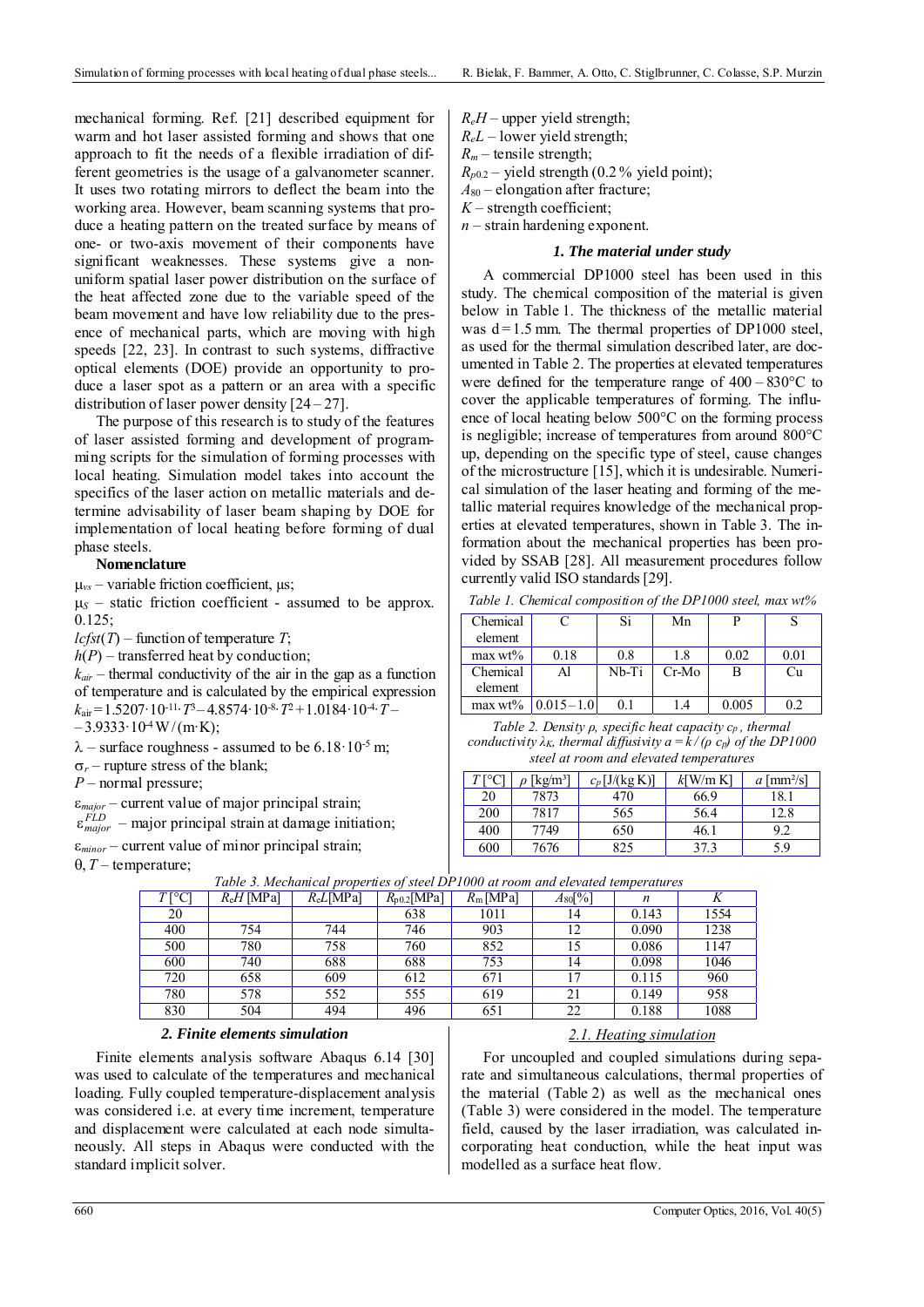mechanical forming. Ref. [21] described equipment for warm and hot laser assisted forming and shows that one approach to fit the needs of a flexible irradiation of different geometries is the usage of a galvanometer scanner. It uses two rotating mirrors to deflect the beam into the working area. However, beam scanning systems that produce a heating pattern on the treated surface by means of one- or two-axis movement of their components have significant weaknesses. These systems give a nonuniform spatial laser power distribution on the surface of the heat affected zone due to the variable speed of the beam movement and have low reliability due to the presence of mechanical parts, which are moving with high speeds [22, 23]. In contrast to such systems, diffractive optical elements (DOE) provide an opportunity to produce a laser spot as a pattern or an area with a specific distribution of laser power density [24 – 27].

The purpose of this research is to study of the features of laser assisted forming and development of programming scripts for the simulation of forming processes with local heating. Simulation model takes into account the specifics of the laser action on metallic materials and determine advisability of laser beam shaping by DOE for implementation of local heating before forming of dual phase steels.

#### **Nomenclature**

 $\mu_{vs}$  – variable friction coefficient,  $\mu$ s;

 $\mu$ <sub>S</sub> – static friction coefficient - assumed to be approx. 0.125;

 $lcfst(T)$  – function of temperature *T*;

 $h(P)$  – transferred heat by conduction;

 $k_{air}$  – thermal conductivity of the air in the gap as a function of temperature and is calculated by the empirical expression  $k_{\text{air}}$  = 1.5207·10<sup>-11</sup>·*T*<sup>3</sup> – 4.8574·10<sup>-8</sup>·*T*<sup>2</sup> + 1.0184·10<sup>-4</sup>·*T* –

 $-3.9333 \cdot 10^{4}$  W/(m·K);

 $\lambda$  – surface roughness - assumed to be 6.18·10<sup>-5</sup> m;

 $\sigma_r$  – rupture stress of the blank;

*P* – normal pressure;

*major* – current value of major principal strain;

 $\varepsilon_{major}^{FLD}$  – major principal strain at damage initiation;

 $\varepsilon_{minor}$  – current value of minor principal strain;

 $\theta$ , *T* – temperature;

*ReL* – lower yield strength;  $R_m$  – tensile strength;  $R_{p0.2}$  – yield strength (0.2% yield point); *A*80 – elongation after fracture;

 $R_eH$  – upper yield strength;

 $K$  – strength coefficient;

*n* – strain hardening exponent.

### *1. The material under study*

A commercial DP1000 steel has been used in this study. The chemical composition of the material is given below in Table 1. The thickness of the metallic material was  $d = 1.5$  mm. The thermal properties of DP1000 steel, as used for the thermal simulation described later, are documented in Table 2. The properties at elevated temperatures were defined for the temperature range of  $400 - 830$ °C to cover the applicable temperatures of forming. The influence of local heating below 500°C on the forming process is negligible; increase of temperatures from around 800°C up, depending on the specific type of steel, cause changes of the microstructure [15], which it is undesirable. Numerical simulation of the laser heating and forming of the metallic material requires knowledge of the mechanical properties at elevated temperatures, shown in Table 3. The information about the mechanical properties has been provided by SSAB [28]. All measurement procedures follow currently valid ISO standards [29].

*Table 1. Chemical composition of the DP1000 steel, max wt%* 

| Chemical   |               | Si    | Mn      |       |      |
|------------|---------------|-------|---------|-------|------|
| element    |               |       |         |       |      |
| max wt%    | 0.18          | 0.8   | 1.8     | 0.02  | 0.01 |
| Chemical   | Al            | Nb-Ti | $Cr-Mo$ | В     | Ċu   |
| element    |               |       |         |       |      |
| $max wt\%$ | $0.015 - 1.0$ |       |         | 0.005 |      |

*Table 2. Density ρ, specific heat capacity cp , thermal conductivity*  $\lambda_K$ , thermal diffusivity  $a = k / (\rho \ c_p)$  of the DP1000 *steel at room and elevated temperatures* 

| $T$ $\Gamma$ ° $C$ $\Gamma$ | [ $kg/m3$ ] | $c_n$ [J/(kg K)] | $k$ [W/m K] | $a \, [\text{mm}^2/\text{s}]$ |
|-----------------------------|-------------|------------------|-------------|-------------------------------|
| 20                          | 7873        | 470              | 66.9        | 18.                           |
| 200                         | 7817        | 565              | 56.4        | 12.8                          |
| 400                         | 7749        | 650              | 46.         | ററ                            |
| 600                         | 676         | 825              |             | 5.9                           |

| $R_{\rm e}H$ [MPa] | $R_{e}L[MPa]$ | $R_{p0.2}$ [MPa] | $R_m$ [MPa] | $A_{80}[\%]$ | n     | л    |
|--------------------|---------------|------------------|-------------|--------------|-------|------|
|                    |               | 638              | 1011        | 14           | 0.143 | 1554 |
| 754                | 744           | 746              | 903         | 12           | 0.090 | 1238 |
| 780                | 758           | 760              | 852         | 15           | 0.086 | 1147 |
| 740                | 688           | 688              | 753         | 14           | 0.098 | 1046 |
| 658                | 609           | 612              | 671         | 17           | 0.115 | 960  |
| 578                | 552           | 555              | 619         | 21           | 0.149 | 958  |
| 504                | 494           | 496              | 651         | 22           | 0.188 | 1088 |
|                    |               |                  |             |              |       |      |

*Table 3. Mechanical properties of steel DP1000 at room and elevated temperatures* 

## *2. Finite elements simulation*

Finite elements analysis software Abaqus 6.14 [30] was used to calculate of the temperatures and mechanical loading. Fully coupled temperature-displacement analysis was considered i.e. at every time increment, temperature and displacement were calculated at each node simultaneously. All steps in Abaqus were conducted with the standard implicit solver.

### *2.1. Heating simulation*

For uncoupled and coupled simulations during separate and simultaneous calculations, thermal properties of the material (Table 2) as well as the mechanical ones (Table 3) were considered in the model. The temperature field, caused by the laser irradiation, was calculated incorporating heat conduction, while the heat input was modelled as a surface heat flow.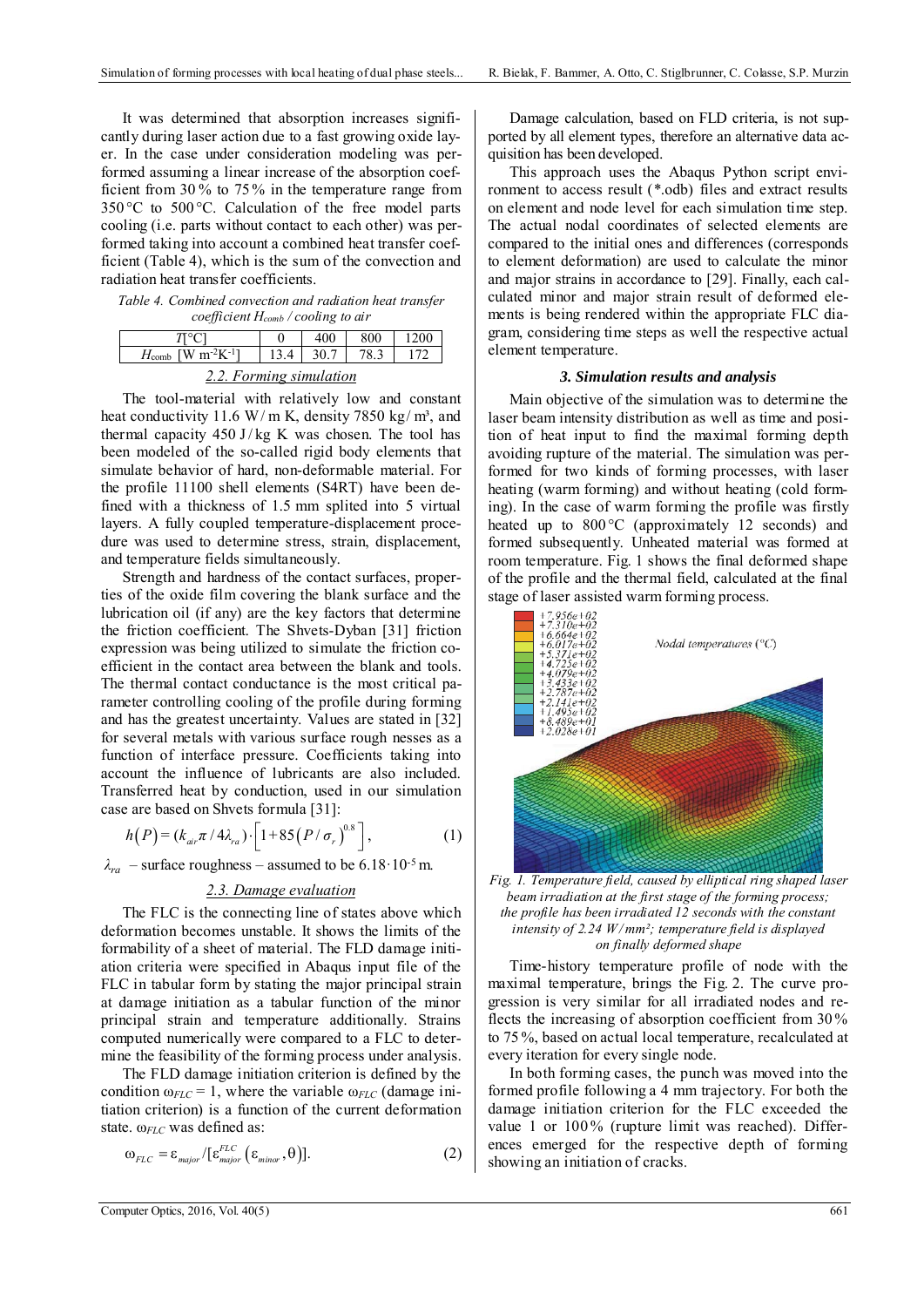It was determined that absorption increases significantly during laser action due to a fast growing oxide layer. In the case under consideration modeling was performed assuming a linear increase of the absorption coefficient from 30 % to 75 % in the temperature range from 350 °C to 500 °C. Calculation of the free model parts cooling (i.e. parts without contact to each other) was performed taking into account a combined heat transfer coefficient (Table 4), which is the sum of the convection and radiation heat transfer coefficients.

*Table 4. Combined convection and radiation heat transfer coefficient Hcomb / cooling to air* 

|                                                        |  | 400  | 800 | 1200 |  |  |
|--------------------------------------------------------|--|------|-----|------|--|--|
| $H_{\text{comb}}$ [W m <sup>-2</sup> K <sup>-1</sup> ] |  | 30.7 |     |      |  |  |
| 2.2. Forming simulation                                |  |      |     |      |  |  |

The tool-material with relatively low and constant heat conductivity 11.6 W/m K, density 7850 kg/m<sup>3</sup>, and thermal capacity  $450 \text{ J/kg}$  K was chosen. The tool has been modeled of the so-called rigid body elements that simulate behavior of hard, non-deformable material. For the profile 11100 shell elements (S4RT) have been defined with a thickness of 1.5 mm splited into 5 virtual layers. A fully coupled temperature-displacement procedure was used to determine stress, strain, displacement, and temperature fields simultaneously.

Strength and hardness of the contact surfaces, properties of the oxide film covering the blank surface and the lubrication oil (if any) are the key factors that determine the friction coefficient. The Shvets-Dyban [31] friction expression was being utilized to simulate the friction coefficient in the contact area between the blank and tools. The thermal contact conductance is the most critical parameter controlling cooling of the profile during forming and has the greatest uncertainty. Values are stated in [32] for several metals with various surface rough nesses as a function of interface pressure. Coefficients taking into account the influence of lubricants are also included. Transferred heat by conduction, used in our simulation case are based on Shvets formula [31]:

$$
h(P) = (k_{air}\pi / 4\lambda_{ra}) \cdot \left[1 + 85(P/\sigma_r)^{0.8}\right],
$$
 (1)

 $\lambda_{ra}$  – surface roughness – assumed to be 6.18·10<sup>-5</sup> m.

## *2.3. Damage evaluation*

The FLC is the connecting line of states above which deformation becomes unstable. It shows the limits of the formability of a sheet of material. The FLD damage initiation criteria were specified in Abaqus input file of the FLC in tabular form by stating the major principal strain at damage initiation as a tabular function of the minor principal strain and temperature additionally. Strains computed numerically were compared to a FLC to determine the feasibility of the forming process under analysis.

The FLD damage initiation criterion is defined by the condition  $\omega_{FLC} = 1$ , where the variable  $\omega_{FLC}$  (damage initiation criterion) is a function of the current deformation state. ω*FLC* was defined as:

$$
\omega_{FLC} = \varepsilon_{\text{major}} / [\varepsilon_{\text{major}}^{FLC} (\varepsilon_{\text{minor}}, \theta)]. \tag{2}
$$

Damage calculation, based on FLD criteria, is not supported by all element types, therefore an alternative data acquisition has been developed.

This approach uses the Abaqus Python script environment to access result (\*.odb) files and extract results on element and node level for each simulation time step. The actual nodal coordinates of selected elements are compared to the initial ones and differences (corresponds to element deformation) are used to calculate the minor and major strains in accordance to [29]. Finally, each calculated minor and major strain result of deformed elements is being rendered within the appropriate FLC diagram, considering time steps as well the respective actual element temperature.

#### *3. Simulation results and analysis*

Main objective of the simulation was to determine the laser beam intensity distribution as well as time and position of heat input to find the maximal forming depth avoiding rupture of the material. The simulation was performed for two kinds of forming processes, with laser heating (warm forming) and without heating (cold forming). In the case of warm forming the profile was firstly heated up to  $800^{\circ}$ C (approximately 12 seconds) and formed subsequently. Unheated material was formed at room temperature. Fig. 1 shows the final deformed shape of the profile and the thermal field, calculated at the final stage of laser assisted warm forming process.



*Fig. 1. Temperature field, caused by elliptical ring shaped laser beam irradiation at the first stage of the forming process; the profile has been irradiated 12 seconds with the constant intensity of 2.24 W/ mm²; temperature field is displayed on finally deformed shape* 

Time-history temperature profile of node with the maximal temperature, brings the Fig. 2. The curve progression is very similar for all irradiated nodes and reflects the increasing of absorption coefficient from 30 % to 75 %, based on actual local temperature, recalculated at every iteration for every single node.

In both forming cases, the punch was moved into the formed profile following a 4 mm trajectory. For both the damage initiation criterion for the FLC exceeded the value 1 or 100% (rupture limit was reached). Differences emerged for the respective depth of forming showing an initiation of cracks.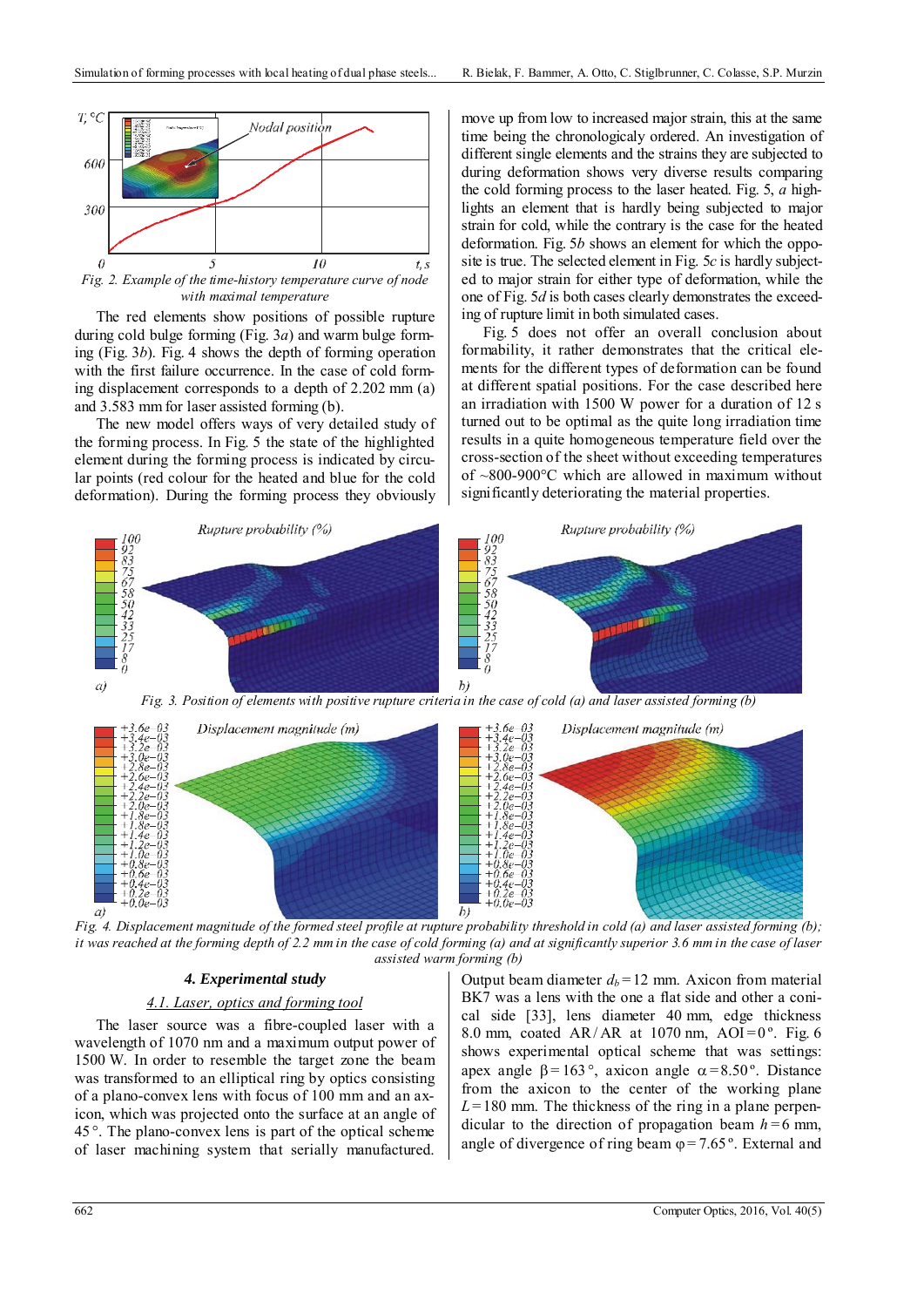

*Fig. 2. Example of the time-history temperature curve of node with maximal temperature* 

The red elements show positions of possible rupture during cold bulge forming (Fig. 3*a*) and warm bulge forming (Fig. 3*b*). Fig. 4 shows the depth of forming operation with the first failure occurrence. In the case of cold forming displacement corresponds to a depth of 2.202 mm (a) and 3.583 mm for laser assisted forming (b).

The new model offers ways of very detailed study of the forming process. In Fig. 5 the state of the highlighted element during the forming process is indicated by circular points (red colour for the heated and blue for the cold deformation). During the forming process they obviously

move up from low to increased major strain, this at the same time being the chronologicaly ordered. An investigation of different single elements and the strains they are subjected to during deformation shows very diverse results comparing the cold forming process to the laser heated. Fig. 5, *a* highlights an element that is hardly being subjected to major strain for cold, while the contrary is the case for the heated deformation. Fig. 5*b* shows an element for which the opposite is true. The selected element in Fig. 5*c* is hardly subjected to major strain for either type of deformation, while the one of Fig. 5*d* is both cases clearly demonstrates the exceeding of rupture limit in both simulated cases.

Fig. 5 does not offer an overall conclusion about formability, it rather demonstrates that the critical elements for the different types of deformation can be found at different spatial positions. For the case described here an irradiation with 1500 W power for a duration of 12 s turned out to be optimal as the quite long irradiation time results in a quite homogeneous temperature field over the cross-section of the sheet without exceeding temperatures of  $\sim$ 800-900 $\degree$ C which are allowed in maximum without significantly deteriorating the material properties.



*it was reached at the forming depth of 2.2 mm in the case of cold forming (a) and at significantly superior 3.6 mm in the case of laser assisted warm forming (b)*

## *4. Experimental study*

#### *4.1. Laser, optics and forming tool*

The laser source was a fibre-coupled laser with a wavelength of 1070 nm and a maximum output power of 1500 W. In order to resemble the target zone the beam was transformed to an elliptical ring by optics consisting of a plano-convex lens with focus of 100 mm and an axicon, which was projected onto the surface at an angle of 45 °. The plano-convex lens is part of the optical scheme of laser machining system that serially manufactured.

Output beam diameter  $d_b = 12$  mm. Axicon from material BK7 was a lens with the one a flat side and other a conical side [33], lens diameter 40 mm, edge thickness 8.0 mm, coated AR/AR at 1070 nm, AOI =  $0^{\circ}$ . Fig. 6 shows experimental optical scheme that was settings: apex angle  $\beta = 163^\circ$ , axicon angle  $\alpha = 8.50^\circ$ . Distance from the axicon to the center of the working plane  $L = 180$  mm. The thickness of the ring in a plane perpendicular to the direction of propagation beam  $h = 6$  mm, angle of divergence of ring beam  $\varphi = 7.65$ °. External and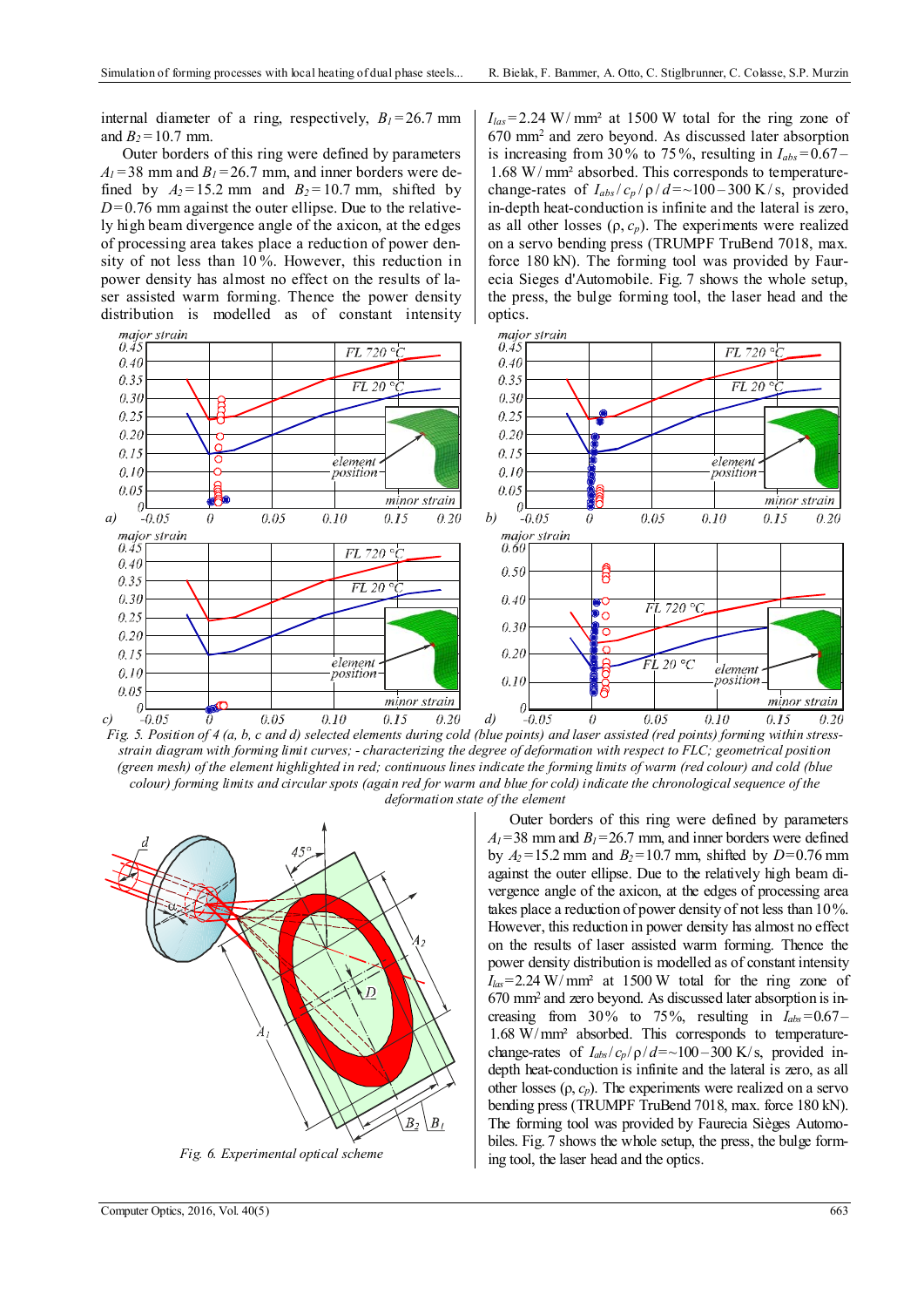internal diameter of a ring, respectively,  $B_1 = 26.7$  mm and  $B_2 = 10.7$  mm.

Outer borders of this ring were defined by parameters  $A_1$  = 38 mm and  $B_1$  = 26.7 mm, and inner borders were defined by  $A_2 = 15.2$  mm and  $B_2 = 10.7$  mm, shifted by  $D=0.76$  mm against the outer ellipse. Due to the relatively high beam divergence angle of the axicon, at the edges of processing area takes place a reduction of power density of not less than 10 %. However, this reduction in power density has almost no effect on the results of laser assisted warm forming. Thence the power density distribution is modelled as of constant intensity  $I<sub>las</sub>=2.24 W/mm<sup>2</sup>$  at 1500 W total for the ring zone of 670 mm2 and zero beyond. As discussed later absorption is increasing from 30% to 75%, resulting in  $I_{abs} = 0.67 -$ 1.68 W/ mm² absorbed. This corresponds to temperaturechange-rates of  $I_{abs}/c_p/\rho/d = \sim 100-300$  K/s, provided in-depth heat-conduction is infinite and the lateral is zero, as all other losses  $(\rho, c_p)$ . The experiments were realized on a servo bending press (TRUMPF TruBend 7018, max. force 180 kN). The forming tool was provided by Faurecia Sieges d'Automobile. Fig. 7 shows the whole setup, the press, the bulge forming tool, the laser head and the optics.



*Fig. 5. Position of 4 (a, b, c and d) selected elements during cold (blue points) and laser assisted (red points) forming within stressstrain diagram with forming limit curves; - characterizing the degree of deformation with respect to FLC; geometrical position (green mesh) of the element highlighted in red; continuous lines indicate the forming limits of warm (red colour) and cold (blue colour) forming limits and circular spots (again red for warm and blue for cold) indicate the chronological sequence of the deformation state of the element* 



*Fig. 6. Experimental optical scheme* 

Outer borders of this ring were defined by parameters  $A_1$ =38 mm and  $B_1$ =26.7 mm, and inner borders were defined by  $A_2 = 15.2$  mm and  $B_2 = 10.7$  mm, shifted by  $D = 0.76$  mm against the outer ellipse. Due to the relatively high beam divergence angle of the axicon, at the edges of processing area takes place a reduction of power density of not less than 10%. However, this reduction in power density has almost no effect on the results of laser assisted warm forming. Thence the power density distribution is modelled as of constant intensity  $I_{\text{las}}$ =2.24 W/mm<sup>2</sup> at 1500 W total for the ring zone of 670 mm2 and zero beyond. As discussed later absorption is increasing from  $30\%$  to  $75\%$ , resulting in  $I_{abs} = 0.67 -$ 1.68 W/mm² absorbed. This corresponds to temperaturechange-rates of  $I_{abs}/c_p/\rho/d = \sim 100-300$  K/s, provided indepth heat-conduction is infinite and the lateral is zero, as all other losses  $(\rho, c_p)$ . The experiments were realized on a servo bending press (TRUMPF TruBend 7018, max. force 180 kN). The forming tool was provided by Faurecia Sièges Automobiles. Fig. 7 shows the whole setup, the press, the bulge forming tool, the laser head and the optics.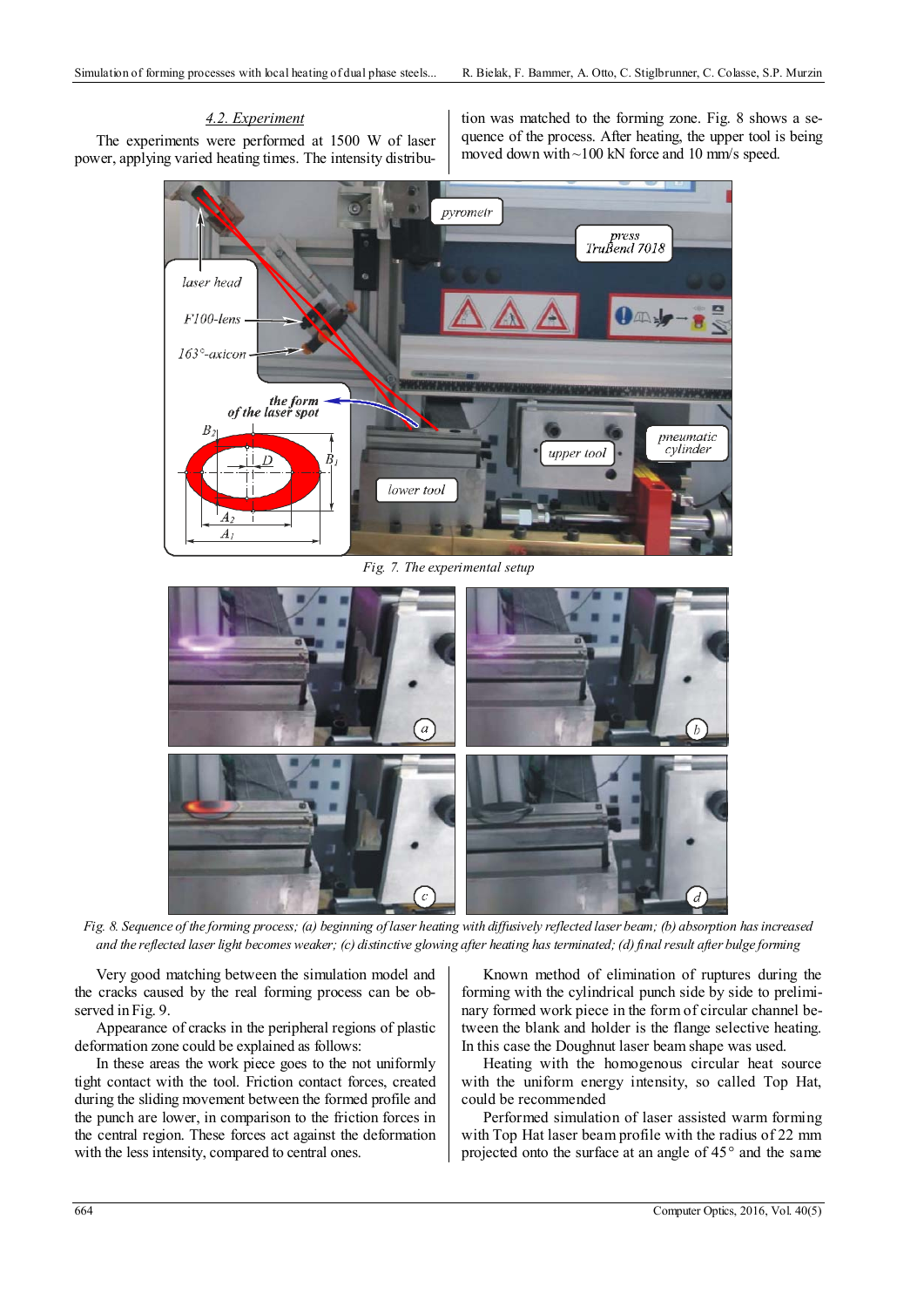# *4.2. Experiment*

The experiments were performed at 1500 W of laser power, applying varied heating times. The intensity distribution was matched to the forming zone. Fig. 8 shows a sequence of the process. After heating, the upper tool is being moved down with ~100 kN force and 10 mm/s speed.



*Fig. 7. The experimental setup* 



 *Fig. 8. Sequence of the forming process; (a) beginning of laser heating with diffusively reflected laser beam; (b) absorption has increased and the reflected laser light becomes weaker; (c) distinctive glowing after heating has terminated; (d) final result after bulge forming* 

Very good matching between the simulation model and the cracks caused by the real forming process can be observed in Fig. 9.

Appearance of cracks in the peripheral regions of plastic deformation zone could be explained as follows:

In these areas the work piece goes to the not uniformly tight contact with the tool. Friction contact forces, created during the sliding movement between the formed profile and the punch are lower, in comparison to the friction forces in the central region. These forces act against the deformation with the less intensity, compared to central ones.

Known method of elimination of ruptures during the forming with the cylindrical punch side by side to preliminary formed work piece in the form of circular channel between the blank and holder is the flange selective heating. In this case the Doughnut laser beam shape was used.

Heating with the homogenous circular heat source with the uniform energy intensity, so called Top Hat, could be recommended

Performed simulation of laser assisted warm forming with Top Hat laser beam profile with the radius of 22 mm projected onto the surface at an angle of 45° and the same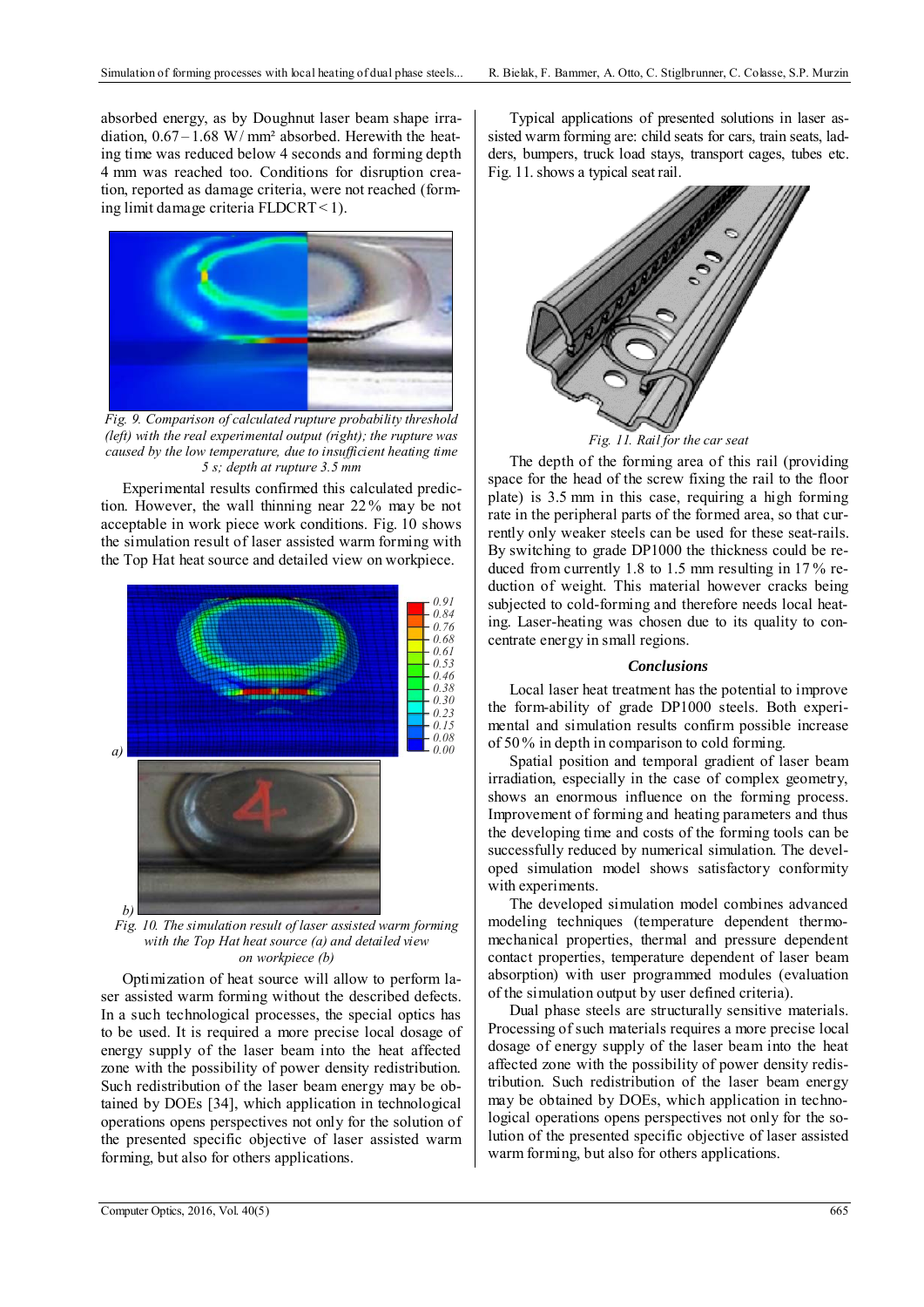absorbed energy, as by Doughnut laser beam shape irradiation,  $0.67 - 1.68$  W/mm<sup>2</sup> absorbed. Herewith the heating time was reduced below 4 seconds and forming depth 4 mm was reached too. Conditions for disruption creation, reported as damage criteria, were not reached (forming limit damage criteria FLDCRT< 1).



*Fig. 9. Comparison of calculated rupture probability threshold (left) with the real experimental output (right); the rupture was caused by the low temperature, due to insufficient heating time 5 s; depth at rupture 3.5 mm* 

Experimental results confirmed this calculated prediction. However, the wall thinning near 22 % may be not acceptable in work piece work conditions. Fig. 10 shows the simulation result of laser assisted warm forming with the Top Hat heat source and detailed view on workpiece.



*Fig. 10. The simulation result of laser assisted warm forming with the Top Hat heat source (a) and detailed view on workpiece (b)* 

Optimization of heat source will allow to perform laser assisted warm forming without the described defects. In a such technological processes, the special optics has to be used. It is required a more precise local dosage of energy supply of the laser beam into the heat affected zone with the possibility of power density redistribution. Such redistribution of the laser beam energy may be obtained by DOEs [34], which application in technological operations opens perspectives not only for the solution of the presented specific objective of laser assisted warm forming, but also for others applications.

Typical applications of presented solutions in laser assisted warm forming are: child seats for cars, train seats, ladders, bumpers, truck load stays, transport cages, tubes etc. Fig. 11. shows a typical seat rail.



*Fig. 11. Rail for the car seat* 

The depth of the forming area of this rail (providing space for the head of the screw fixing the rail to the floor plate) is 3.5 mm in this case, requiring a high forming rate in the peripheral parts of the formed area, so that currently only weaker steels can be used for these seat-rails. By switching to grade DP1000 the thickness could be reduced from currently 1.8 to 1.5 mm resulting in 17 % reduction of weight. This material however cracks being subjected to cold-forming and therefore needs local heating. Laser-heating was chosen due to its quality to concentrate energy in small regions.

### *Conclusions*

Local laser heat treatment has the potential to improve the form-ability of grade DP1000 steels. Both experimental and simulation results confirm possible increase of 50 % in depth in comparison to cold forming.

Spatial position and temporal gradient of laser beam irradiation, especially in the case of complex geometry, shows an enormous influence on the forming process. Improvement of forming and heating parameters and thus the developing time and costs of the forming tools can be successfully reduced by numerical simulation. The developed simulation model shows satisfactory conformity with experiments.

The developed simulation model combines advanced modeling techniques (temperature dependent thermomechanical properties, thermal and pressure dependent contact properties, temperature dependent of laser beam absorption) with user programmed modules (evaluation of the simulation output by user defined criteria).

Dual phase steels are structurally sensitive materials. Processing of such materials requires a more precise local dosage of energy supply of the laser beam into the heat affected zone with the possibility of power density redistribution. Such redistribution of the laser beam energy may be obtained by DOEs, which application in technological operations opens perspectives not only for the solution of the presented specific objective of laser assisted warm forming, but also for others applications.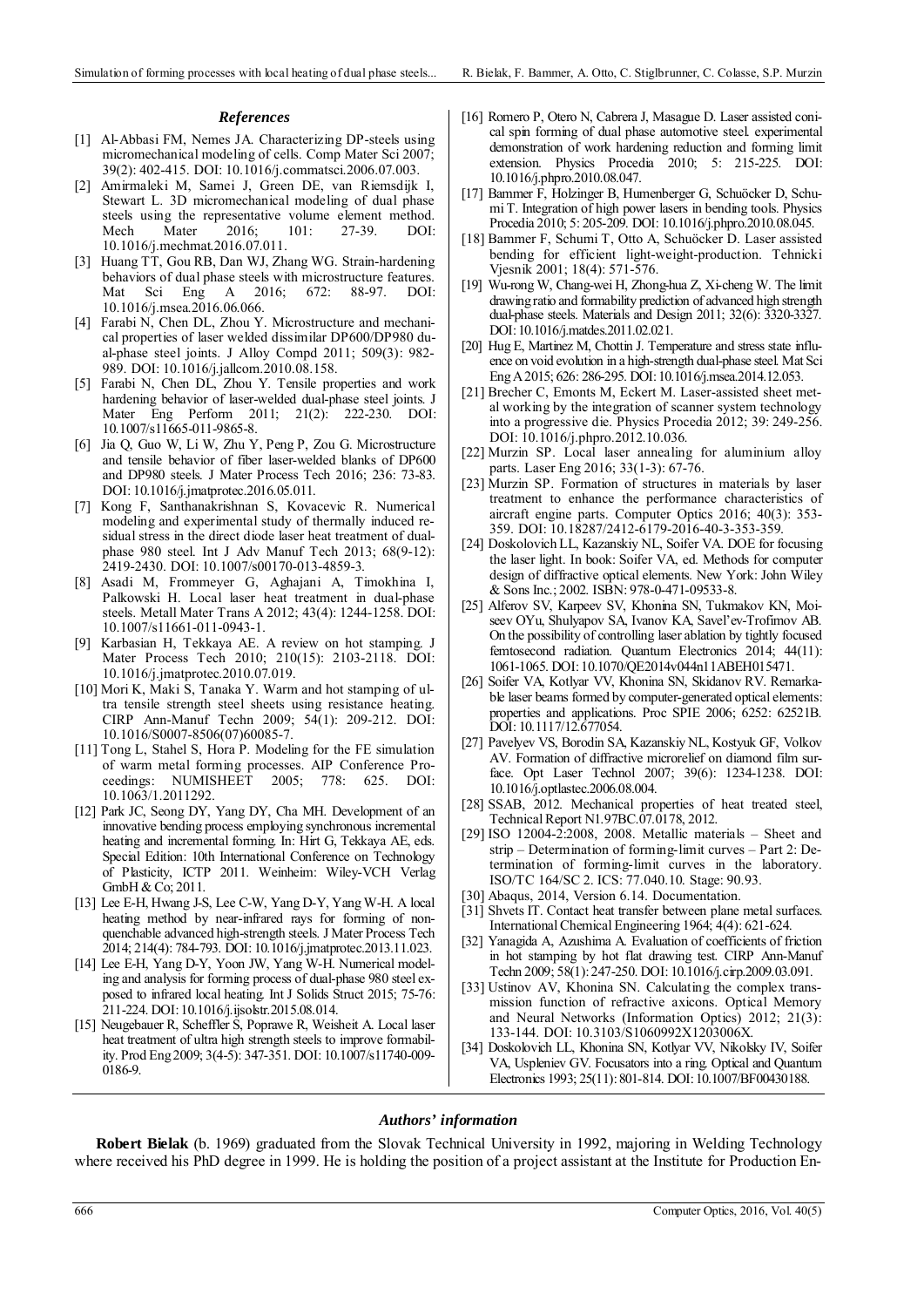### *References*

- [1] Al-Abbasi FM, Nemes JA. Characterizing DP-steels using micromechanical modeling of cells. Comp Mater Sci 2007; 39(2): 402-415. DOI: 10.1016/j.commatsci.2006.07.003.
- [2] Amirmaleki M, Samei J, Green DE, van Riemsdijk I, Stewart L. 3D micromechanical modeling of dual phase steels using the representative volume element method. Mech Mater 2016; 101: 27-39. DOI: 10.1016/j.mechmat.2016.07.011.
- [3] Huang TT, Gou RB, Dan WJ, Zhang WG. Strain-hardening behaviors of dual phase steels with microstructure features. Mat Sci Eng A 2016; 672: 88-97. DOI: 10.1016/j.msea.2016.06.066.
- [4] Farabi N, Chen DL, Zhou Y. Microstructure and mechanical properties of laser welded dissimilar DP600/DP980 dual-phase steel joints. J Alloy Compd 2011; 509(3): 982- 989. DOI: 10.1016/j.jallcom.2010.08.158.
- [5] Farabi N, Chen DL, Zhou Y. Tensile properties and work hardening behavior of laser-welded dual-phase steel joints. J Mater Eng Perform 2011; 21(2): 222-230. DOI: 10.1007/s11665-011-9865-8.
- [6] Jia Q, Guo W, Li W, Zhu Y, Peng P, Zou G. Microstructure and tensile behavior of fiber laser-welded blanks of DP600 and DP980 steels. J Mater Process Tech 2016; 236: 73-83. DOI: 10.1016/j.jmatprotec.2016.05.011.
- [7] Kong F, Santhanakrishnan S, Kovacevic R. Numerical modeling and experimental study of thermally induced residual stress in the direct diode laser heat treatment of dualphase 980 steel. Int J Adv Manuf Tech 2013; 68(9-12): 2419-2430. DOI: 10.1007/s00170-013-4859-3.
- [8] Asadi M, Frommeyer G, Aghajani A, Timokhina I, Palkowski H. Local laser heat treatment in dual-phase steels. Metall Mater Trans A 2012; 43(4): 1244-1258. DOI: 10.1007/s11661-011-0943-1.
- [9] Karbasian H, Tekkaya AE. A review on hot stamping. J Mater Process Tech 2010; 210(15): 2103-2118. DOI: 10.1016/j.jmatprotec.2010.07.019.
- [10] Mori K, Maki S, Tanaka Y. Warm and hot stamping of ultra tensile strength steel sheets using resistance heating. CIRP Ann-Manuf Techn 2009; 54(1): 209-212. DOI: 10.1016/S0007-8506(07)60085-7.
- [11] Tong L, Stahel S, Hora P. Modeling for the FE simulation of warm metal forming processes. AIP Conference Proceedings: NUMISHEET 2005; 778: 625. DOI: 10.1063/1.2011292.
- [12] Park JC, Seong DY, Yang DY, Cha MH. Development of an innovative bending process employing synchronous incremental heating and incremental forming. In: Hirt G, Tekkaya AE, eds. Special Edition: 10th International Conference on Technology of Plasticity, ICTP 2011. Weinheim: Wiley-VCH Verlag GmbH & Co; 2011.
- [13] Lee E-H, Hwang J-S, Lee C-W, Yang D-Y, Yang W-H. A local heating method by near-infrared rays for forming of nonquenchable advanced high-strength steels. J Mater Process Tech 2014; 214(4): 784-793. DOI: 10.1016/j.jmatprotec.2013.11.023.
- [14] Lee E-H, Yang D-Y, Yoon JW, Yang W-H. Numerical modeling and analysis for forming process of dual-phase 980 steel exposed to infrared local heating. Int J Solids Struct 2015; 75-76: 211-224. DOI: 10.1016/j.ijsolstr.2015.08.014.
- [15] Neugebauer R, Scheffler S, Poprawe R, Weisheit A. Local laser heat treatment of ultra high strength steels to improve formability. Prod Eng 2009; 3(4-5): 347-351. DOI: 10.1007/s11740-009- 0186-9.
- [16] Romero P, Otero N, Cabrera J, Masague D. Laser assisted conical spin forming of dual phase automotive steel. experimental demonstration of work hardening reduction and forming limit extension. Physics Procedia 2010; 5: 215-225. DOI: 10.1016/j.phpro.2010.08.047.
- [17] Bammer F, Holzinger B, Humenberger G, Schuöcker D, Schumi T. Integration of high power lasers in bending tools. Physics Procedia 2010; 5: 205-209. DOI: 10.1016/j.phpro.2010.08.045.
- [18] Bammer F, Schumi T, Otto A, Schuöcker D. Laser assisted bending for efficient light-weight-production. Tehnicki Vjesnik 2001; 18(4): 571-576.
- [19] Wu-rong W, Chang-wei H, Zhong-hua Z, Xi-cheng W. The limit drawing ratio and formability prediction of advanced high strength dual-phase steels. Materials and Design 2011; 32(6): 3320-3327. DOI: 10.1016/j.matdes.2011.02.021.
- [20] Hug E, Martinez M, Chottin J. Temperature and stress state influence on void evolution in a high-strength dual-phase steel. Mat Sci Eng A 2015; 626: 286-295. DOI: 10.1016/j.msea.2014.12.053.
- [21] Brecher C, Emonts M, Eckert M. Laser-assisted sheet metal working by the integration of scanner system technology into a progressive die. Physics Procedia 2012; 39: 249-256. DOI: 10.1016/j.phpro.2012.10.036.
- [22] Murzin SP. Local laser annealing for aluminium alloy parts. Laser Eng 2016; 33(1-3): 67-76.
- [23] Murzin SP. Formation of structures in materials by laser treatment to enhance the performance characteristics of aircraft engine parts. Computer Optics 2016; 40(3): 353- 359. DOI: 10.18287/2412-6179-2016-40-3-353-359.
- [24] Doskolovich LL, Kazanskiy NL, Soifer VA. DOE for focusing the laser light. In book: Soifer VA, ed. Methods for computer design of diffractive optical elements. New York: John Wiley & Sons Inc.; 2002. ISBN: 978-0-471-09533-8.
- [25] Alferov SV, Karpeev SV, Khonina SN, Tukmakov KN, Moiseev OYu, Shulyapov SA, Ivanov KA, Savel'ev-Trofimov AB. On the possibility of controlling laser ablation by tightly focused femtosecond radiation. Quantum Electronics 2014; 44(11): 1061-1065. DOI: 10.1070/QE2014v044n11ABEH015471.
- [26] Soifer VA, Kotlyar VV, Khonina SN, Skidanov RV. Remarkable laser beams formed by computer-generated optical elements: properties and applications. Proc SPIE 2006; 6252: 62521B. DOI: 10.1117/12.677054.
- [27] Pavelyev VS, Borodin SA, Kazanskiy NL, Kostyuk GF, Volkov AV. Formation of diffractive microrelief on diamond film surface. Opt Laser Technol 2007; 39(6): 1234-1238. DOI: 10.1016/j.optlastec.2006.08.004.
- [28] SSAB, 2012. Mechanical properties of heat treated steel, Technical Report N1.97BC.07.0178, 2012.
- [29] ISO 12004-2:2008, 2008. Metallic materials Sheet and strip – Determination of forming-limit curves – Part 2: Determination of forming-limit curves in the laboratory. ISO/TC 164/SC 2. ICS: 77.040.10. Stage: 90.93.
- [30] Abaqus, 2014, Version 6.14. Documentation.
- [31] Shvets IT. Contact heat transfer between plane metal surfaces. International Chemical Engineering 1964; 4(4): 621-624.
- [32] Yanagida A, Azushima A. Evaluation of coefficients of friction in hot stamping by hot flat drawing test. CIRP Ann-Manuf Techn 2009; 58(1): 247-250. DOI: 10.1016/j.cirp.2009.03.091.
- [33] Ustinov AV, Khonina SN. Calculating the complex transmission function of refractive axicons. Optical Memory and Neural Networks (Information Optics) 2012; 21(3): 133-144. DOI: 10.3103/S1060992X1203006X.
- [34] Doskolovich LL, Khonina SN, Kotlyar VV, Nikolsky IV, Soifer VA, Uspleniev GV. Focusators into a ring. Optical and Quantum Electronics 1993; 25(11): 801-814. DOI: 10.1007/BF00430188.

### *Authors' information*

**Robert Bielak** (b. 1969) graduated from the Slovak Technical University in 1992, majoring in Welding Technology where received his PhD degree in 1999. He is holding the position of a project assistant at the Institute for Production En